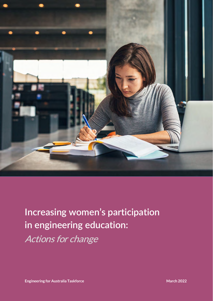

# **Increasing women's participation in engineering education:** Actions for change

**Engineering for Australia Taskforce** March 2022 **March 2022**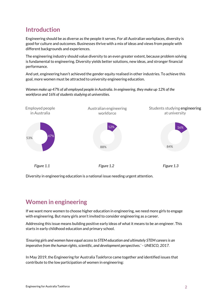## **Introduction**

Engineering should be as diverse as the people it serves. For all Australian workplaces, diversity is good for culture and outcomes. Businesses thrive with a mix of ideas and views from people with different backgrounds and experiences.

The engineering industry should value diversity to an even greater extent, because problem solving is fundamental to engineering. Diversity yields better solutions, new ideas, and stronger financial performance.

And yet, engineering hasn't achieved the gender equity realised in other industries. To achieve this goal, more women must be attracted to university engineering education.

*Women make up 47% of all employed people in Australia. In engineering, they make up 12% of the workforce and 16% of students studying at universities.* 



Diversity in engineering education is a national issue needing urgent attention.

## **Women in engineering**

If we want more women to choose higher education in engineering, we need more girls to engage with engineering. But many girls aren't invited to consider engineering as a career.

Addressing this issue means building positive early ideas of what it means to be an engineer. This starts in early childhood education and primary school.

*'Ensuring girls and women have equal access to STEM education and ultimately STEM careers is an imperative from the human rights, scientific, and development perspectives.' – UNESCO, 2017.* 

In May 2019, the Engineering for Australia Taskforce came together and identified issues that contribute to the low participation of women in engineering: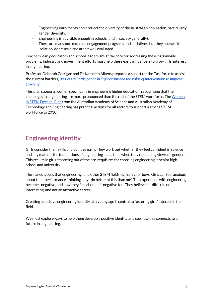- Engineering enrolments don't reflect the diversity of the Australian population, particularly gender diversity.
- Engineering isn't visible enough in schools (and in society generally).
- There are many outreach and engagement programs and initiatives, but they operate in isolation, don't scale and aren't well evaluated.

Teachers, early educators and school leaders are at the core for addressing these nationwide problems. Industry and government efforts must help these early influencers to grow girls' interest in engineering.

Professor Deborah Corrigan and Dr Kathleen Aikens prepared a report for the Taskforce to assess the current barriers, *[Barriers to Participation in Engineering and the Value of Interventions to Improve](https://engineersaustralia.org.au/sites/default/files/resource-files/2022-03/ENGINEERING_FOR_AUSTRALIA_TASKFORCE%20_FINAL_REPOR_NOV_2019.pdf)  [Diversity](https://engineersaustralia.org.au/sites/default/files/resource-files/2022-03/ENGINEERING_FOR_AUSTRALIA_TASKFORCE%20_FINAL_REPOR_NOV_2019.pdf)*.

This plan supports women specifically in engineering higher education, recognising that the challenges in engineering are more pronounced than the rest of the STEM workforce. Th[e Women](https://www.science.org.au/support/analysis/decadal-plans-science/women-in-stem-decadal-plan)  [in STEM Decadal Plan](https://www.science.org.au/support/analysis/decadal-plans-science/women-in-stem-decadal-plan) from the Australian Academy of Science and Australian Academy of Technology and Engineering has practical actions for all sectors to support a strong STEM workforce to 2030.

# **Engineering identity**

Girls consider their skills and abilities early. They work out whether they feel confident in science and any maths – the foundations of engineering – at a time when they're building views on gender. This results in girls streaming out of the pre-requisites for choosing engineering in senior high school and university.

The stereotype is that engineering (and other STEM fields) is mainly for boys. Girls can feel anxious about their performance, thinking 'boys do better at this than me'. The experience with engineering becomes negative, and how they feel about it is negative too. They believe it's difficult, not interesting, and not an attractive career.

Creating a positive engineering identity at a young age is central to fostering girls' interest in the field.

We must explore ways to help them develop a positive identity and see how this connects to a future in engineering.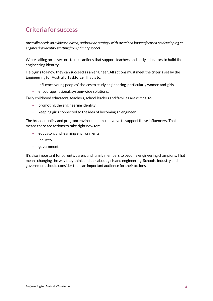## **Criteria for success**

*Australia needs an evidence-based, nationwide strategy with sustained impact focused on developing an engineering identity starting from primary school.*

We're calling on all sectors to take actions that support teachers and early educators to build the engineering identity.

Help girls to know they can succeed as an engineer. All actions must meet the criteria set by the Engineering for Australia Taskforce. That is to:

- influence young peoples' choices to study engineering, particularly women and girls
- encourage national, system-wide solutions.

Early childhood educators, teachers, school leaders and families are critical to:

- promoting the engineering identity
- keeping girls connected to the idea of becoming an engineer.

The broader policy and program environment must evolve to support these influencers. That means there are actions to take right now for:

- educators and learning environments
- industry
- government.

It's also important for parents, carers and family members to become engineering champions. That means changing the way they think and talk about girls and engineering. Schools, industry and government should consider them an important audience for their actions.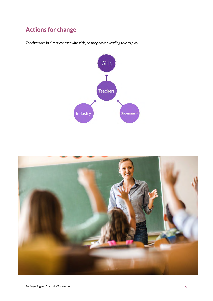# **Actions for change**

*Teachers are in direct contact with girls, so they have a leading role to play.*



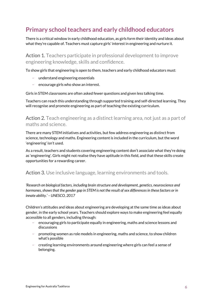## **Primary school teachers and early childhood educators**

There is a critical window in early childhood education, as girls form their identity and ideas about what they're capable of. Teachers must capture girls' interest in engineering and nurture it.

Action 1. Teachers participate in professional development to improve engineering knowledge, skills and confidence.

To show girls that engineering is open to them, teachers and early childhood educators must:

- understand engineering essentials
- encourage girls who show an interest.

Girls in STEM classrooms are often asked fewer questions and given less talking time.

Teachers can reach this understanding through supported training and self-directed learning. They will recognise and promote engineering as part of teaching the existing curriculum.

Action 2. Teach engineering as a distinct learning area, not just as a part of maths and science.

There are many STEM initiatives and activities, but few address engineering as distinct from science, technology and maths. Engineering content is included in the curriculum, but the word 'engineering' isn't used.

As a result, teachers and students covering engineering content don't associate what they're doing as 'engineering'. Girls might not realise they have aptitude in this field, and that these skills create opportunities for a rewarding career.

#### Action 3. Use inclusive language, learning environments and tools.

*'Research on biological factors, including brain structure and development, genetics, neuroscience and hormones, shows that the gender gap in STEM is not the result of sex differences in these factors or in innate ability.' – UNESCO, 2017* 

Children's attitudes and ideas about engineering are developing at the same time as ideas about gender, in the early school years. Teachers should explore ways to make engineering feel equally accessible to all genders, including through:

- encouraging girls to participate equally in engineering, maths and science lessons and discussions
- promoting women as role models in engineering, maths and science, to show children what's possible
- creating learning environments around engineering where girls can feel a sense of belonging.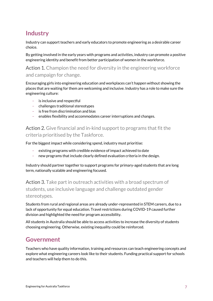# **Industry**

Industry can support teachers and early educators to promote engineering as a desirable career choice.

By getting involved in the early years with programs and activities, industry can promote a positive engineering identity and benefit from better participation of women in the workforce.

#### Action 1. Champion the need for diversity in the engineering workforce and campaign for change.

Encouraging girls into engineering education and workplaces can't happen without showing the places that are waiting for them are welcoming and inclusive. Industry has a role to make sure the engineering culture:

- is inclusive and respectful
- challenges traditional stereotypes
- is free from discrimination and bias
- enables flexibility and accommodates career interruptions and changes.

#### Action 2. Give financial and in-kind support to programs that fit the criteria prioritised by the Taskforce.

For the biggest impact while considering spend, industry must prioritise:

- existing programs with credible evidence of impact achieved to date
- new programs that include clearly defined evaluation criteria in the design.

Industry should partner together to support programs for primary-aged students that are long term, nationally scalable and engineering focused.

Action 3. Take part in outreach activities with a broad spectrum of students, use inclusive language and challenge outdated gender stereotypes.

Students from rural and regional areas are already under-represented in STEM careers, due to a lack of opportunity for equal education. Travel restrictions during COVID-19 caused further division and highlighted the need for program accessibility.

All students in Australia should be able to access activities to increase the diversity of students choosing engineering. Otherwise, existing inequality could be reinforced.

## **Government**

Teachers who have quality information, training and resources can teach engineering concepts and explore what engineering careers look like to their students. Funding practical support for schools and teachers will help them to do this.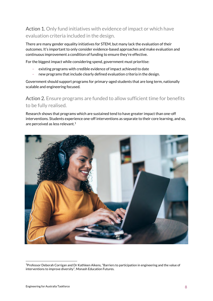#### Action 1. Only fund initiatives with evidence of impact or which have evaluation criteria included in the design.

There are many gender equality initiatives for STEM, but many lack the evaluation of their outcomes. It's important to only consider evidence-based approaches and make evaluation and continuous improvement a condition of funding to ensure they're effective.

For the biggest impact while considering spend, government must prioritise:

- existing programs with credible evidence of impact achieved to date
- new programs that include clearly defined evaluation criteria in the design.

Government should support programs for primary-aged students that are long term, nationally scalable and engineering focused.

Action 2. Ensure programs are funded to allow sufficient time for benefits to be fully realised.

Research shows that programs which are sustained tend to have greater impact than one-off interventions. Students experience one-off interventions as separate to their core learning, and so, are perceived as less relevant.<sup>1</sup>

<span id="page-7-0"></span>

<sup>1</sup>Professor Deborah Corrigan and Dr Kathleen Aikens, "Barriers to participation in engineering and the value of interventions to improve diversity", Monash Education Futures.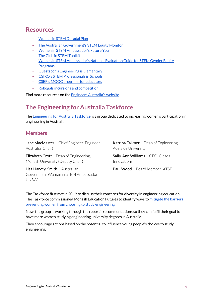### **Resources**

- [Women in STEM Decadal Plan](https://www.science.org.au/support/analysis/decadal-plans-science/women-in-stem-decadal-plan)
- [The Australian Government's STEM Equity Monitor](https://www.industry.gov.au/data-and-publications/stem-equity-monitor)
- [Women in STEM Ambassador's Future You](https://womeninstem.org.au/work/)
- [The Girls in STEM Toolkit](https://www.thegist.edu.au/)
- [Women in STEM Ambassador's National Evaluation Guide for STEM Gender Equity](https://womeninstem.org.au/national-evaluation-guide/)  [Programs](https://womeninstem.org.au/national-evaluation-guide/)
- [Questacon's Engineering is Elementary](https://www.questacon.edu.au/outreach/engineering-elementary)
- [CSIRO's STEM Professionals in Schools](https://www.csiro.au/en/education/programs/stem-professionals-in-schools)
- [CSER's MOOC programs for educators](https://csermoocs.adelaide.edu.au/)
- [Robogals incursions and competition](https://robogals.org/)

Find more resources on the [Engineers Australia's website.](https://www.engineersaustralia.org.au/Engineering-for-Australia-Taskforce)

## **The Engineering for Australia Taskforce**

Th[e Engineering for Australia Taskforce](https://www.engineersaustralia.org.au/Engineering-for-Australia-Taskforce) is a group dedicated to increasing women's participation in engineering in Australia.

#### **Members**

Jane MacMaster - Chief Engineer, Engineer Australia (Chair)

Elizabeth Croft – Dean of Engineering, Monash University (Deputy Chair)

Lisa Harvey-Smith – Australian Government Women in STEM Ambassador, UNSW

Katrina Falkner - Dean of Engineering, Adelaide University

Sally-Ann Williams – CEO, Cicada Innovations

Paul Wood - Board Member, ATSE

The Taskforce first met in 2019 to discuss their concerns for diversity in engineering education. The Taskforce commissioned Monash Education Futures to identify ways to mitigate the barriers [preventing women from choosing to study engineering.](https://engineersaustralia.org.au/sites/default/files/resource-files/2022-03/ENGINEERING_FOR_AUSTRALIA_TASKFORCE%20_FINAL_REPOR_NOV_2019.pdf)

Now, the group is working through the report's recommendations so they can fulfil their goal to have more women studying engineering university degrees in Australia.

They encourage actions based on the potential to influence young people's choices to study engineering.